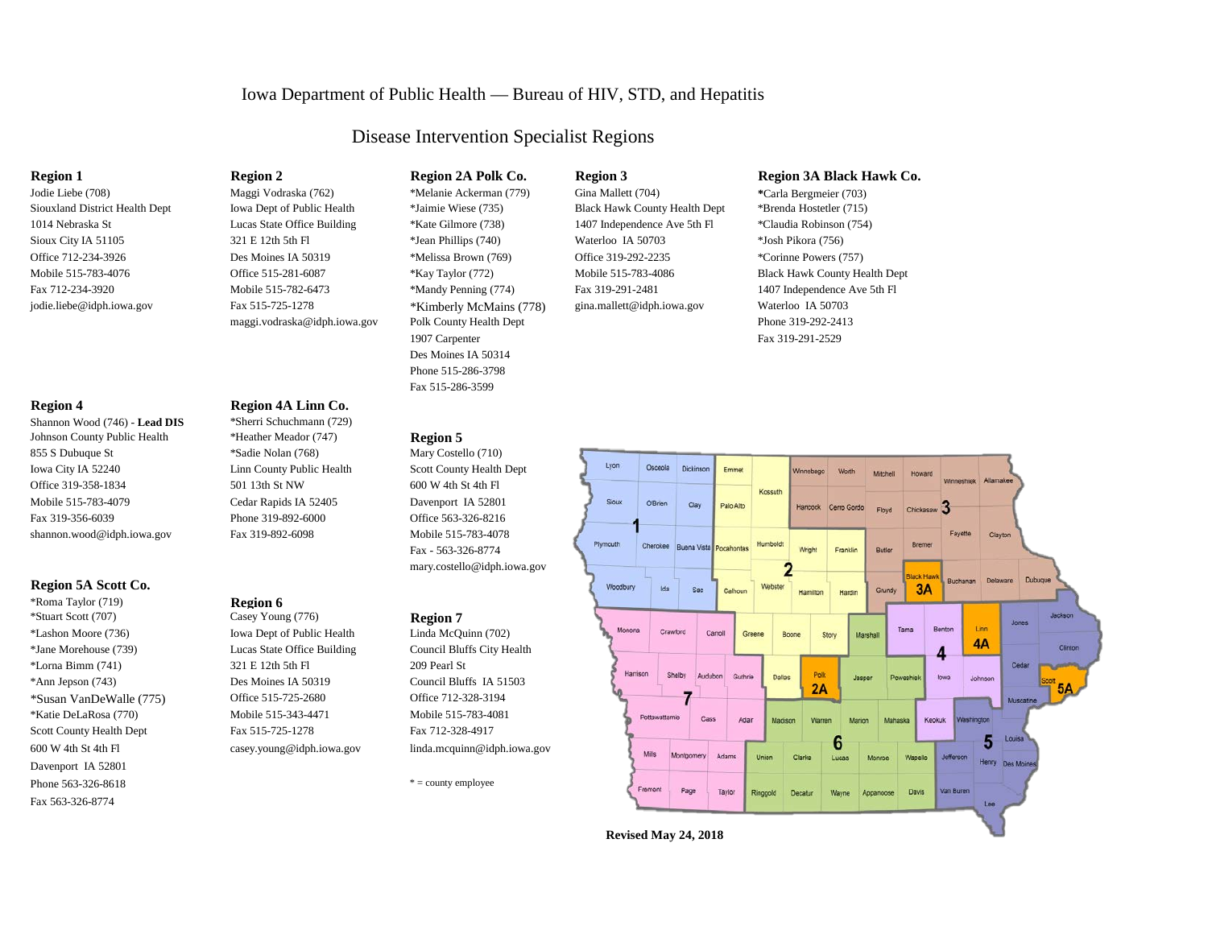# Iowa Department of Public Health — Bureau of HIV, STD, and Hepatitis

# Disease Intervention Specialist Regions

Jodie Liebe (708) Maggi Vodraska (762) \*Melanie Ackerman (779) Gina Mallett (704) **\***Carla Bergmeier (703) Siouxland District Health Dept Iowa Dept of Public Health \*Jaimie Wiese (735) Black Hawk County Health Dept \*Brenda Hostetler (715) 1014 Nebraska St Lucas State Office Building \*Kate Gilmore (738) 1407 Independence Ave 5th Fl \*Claudia Robinson (754) Sioux City IA 51105 321 E 12th 5th Fl  $\ast$ Jean Phillips (740) Waterloo IA 50703  $\ast$ Josh Pikora (756) Office 712-234-3926 Des Moines IA 50319 \*Melissa Brown (769) Office 319-292-2235 \*Corinne Powers (757) Mobile 515-783-4076 **Office 515-281-6087** \*Kay Taylor (772) Mobile 515-783-4086 Black Hawk County Health Dept Fax 712-234-3920 Mobile 515-782-6473 \*Mandy Penning (774) Fax 319-291-2481 1407 Independence Ave 5th Fl [jodie.liebe@idph.iowa.gov](mailto:jodie.liebe@idph.iowa.gov) Fax 515-725-1278 \*Kimberly McMains (778) [gina.mallett@idph.iowa.gov](mailto:gina.mallett@idph.iowa.gov) Waterloo IA 50703 [maggi.vodraska@idph.iowa.gov](mailto:lashaina.woods@idph.iowa.gov) Polk County Health Dept Phone 319-292-2413

Iowa Dept of Public Health

1907 Carpenter Fax 319-291-2529 Des Moines IA 50314 Phone 515-286-3798 Fax 515-286-3599

Mary Costello (710) Fax - 563-326-8774 [mary.costello@idph.iowa.gov](mailto:mary.costello@idph.iowa.gov)

600 W 4th St 4th Fl [casey.young@idph.iowa.gov](mailto:casey.young@idph.iowa.gov) [linda.mcquinn@idph.iowa.gov](mailto:linda.mcquinn@idph.iowa.gov)



## **Region 1 Region 2 Region 2A Polk Co. Region 3 Region 3A Black Hawk Co.**



## **Region 4 Region 4A Linn Co.**

Shannon Wood (746) - **Lead DIS** \*Sherri Schuchmann (729) Johnson County Public Health \*Heather Meador (747) **Region 5**<br>855 S Dubuque St \*Sadie Nolan (768) Mary Costel Iowa City IA 52240 Linn County Public Health Scott County Health Dept Office 319-358-1834 501 13th St NW 600 W 4th St 4th Fl Mobile 515-783-4079 Cedar Rapids IA 52405 Davenport IA 52801 Fax 319-356-6039 Phone 319-892-6000 Office 563-326-8216 [shannon.wood@idph.iowa.gov](mailto:shannon.wood@idph.iowa.gov) Fax 319-892-6098 Mobile 515-783-4078

## **Region 5A Scott Co.**

\*Roma Taylor (719) **Region 6** \*Stuart Scott (707) **Casey Young (776) Region 7**<br>\*Lashon Moore (736) **Casey Young (776) Region 7**<br>Iowa Dept of Public Health **Collection** Linda McQuinn (702) \*Jane Morehouse (739) Lucas State Office Building Council Bluffs City Health  $*$ Lorna Bimm (741) 321 E 12th 5th Fl 209 Pearl St \*Ann Jepson (743) Des Moines IA 50319 Council Bluffs IA 51503 \*Susan VanDeWalle (775) Office 515-725-2680 Office 712-328-3194 \*Katie DeLaRosa (770) Mobile 515-343-4471 Mobile 515-783-4081 Scott County Health Dept Fax 515-725-1278 Fax 712-328-4917 Davenport IA 52801 Phone  $563-326-8618$  \* = county employee Fax 563-326-8774